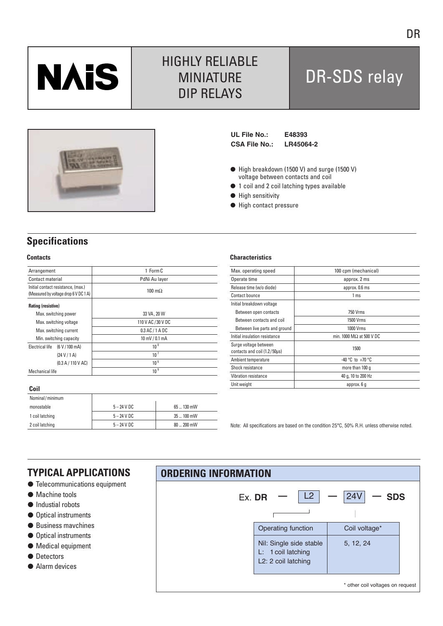

# HIGHLY RELIABLE MINIATURE DIP RELAYS

# DR-SDS relay



**UL File No.: E48393 CSA File No.: LR45064-2**

- High breakdown (1500 V) and surge (1500 V) voltage between contacts and coil
- $\bullet$  1 coil and 2 coil latching types available
- $\bullet$  High sensitivity
- $\bullet$  High contact pressure

# **Specifications**

### **Contacts**

| Arrangement                                                                 |                    | 1 Form C              |  |  |  |
|-----------------------------------------------------------------------------|--------------------|-----------------------|--|--|--|
| Contact material                                                            |                    | PdNi Au layer         |  |  |  |
| Initial contact resistance, (max.)<br>(Measured by voltage drop 6 V DC 1 A) |                    | $100 \text{ m}\Omega$ |  |  |  |
| Rating (resistive)                                                          |                    |                       |  |  |  |
| Max. switching power                                                        |                    | 33 VA, 20 W           |  |  |  |
| Max. switching voltage                                                      |                    | 110 V AC / 30 V DC    |  |  |  |
| Max. switching current                                                      |                    | $0.3$ AC / 1 A DC     |  |  |  |
| Min. switching capacity                                                     |                    | 10 mV / 0.1 mA        |  |  |  |
| Electrical life                                                             | (6 V / 100 mA)     | $10^{8}$              |  |  |  |
|                                                                             | (24 V / 1 A)       | 10 <sup>7</sup>       |  |  |  |
|                                                                             | (0.3 A / 110 V AC) | 10 <sup>6</sup>       |  |  |  |
| Mechanical life                                                             |                    | 10 <sup>9</sup>       |  |  |  |
|                                                                             |                    |                       |  |  |  |

### **Coil**

| Nominal/minimum |               |               |
|-----------------|---------------|---------------|
| monostable      | $5 - 24$ V DC | 65  130 mW    |
| 1 coil latching | $5 - 24$ V DC | 35  100 mW    |
| 2 coil latching | $5 - 24$ V DC | $80 - 200$ mW |

### **Characteristics**

| Max. operating speed                                  | 100 cpm (mechanical)            |  |  |  |
|-------------------------------------------------------|---------------------------------|--|--|--|
| Operate time                                          | approx. 2 ms                    |  |  |  |
| Release time (w/o diode)                              | approx. 0.6 ms                  |  |  |  |
| Contact bounce                                        | 1 <sub>ms</sub>                 |  |  |  |
| Initial breakdown voltage                             |                                 |  |  |  |
| Between open contacts                                 | <b>750 Vrms</b>                 |  |  |  |
| Between contacts and coil                             | 1500 Vrms                       |  |  |  |
| Between live parts and ground                         | 1000 Vrms                       |  |  |  |
| Initial insulation resistance                         | min. 1000 $M\Omega$ at 500 V DC |  |  |  |
| Surge voltage between<br>contacts and coil (1.2/50us) | 1500                            |  |  |  |
| Ambient temperature                                   | -40 °C to +70 °C                |  |  |  |
| Shock resistance                                      | more than 100 q                 |  |  |  |
| Vibration resistance                                  | 40 g, 10 to 200 Hz              |  |  |  |
| Unit weight                                           | approx. 6 g                     |  |  |  |
|                                                       |                                 |  |  |  |

Note: All specifications are based on the condition 25°C, 50% R.H. unless otherwise noted.

### **TYPICAL APPLICATIONS**

- **Telecommunications equipment**
- $\bullet$  Machine tools
- $\bullet$  Industial robots
- Optical instruments
- Business mavchines
- Optical instruments
- $\bullet$  Medical equipment
- Detectors
- Alarm devices